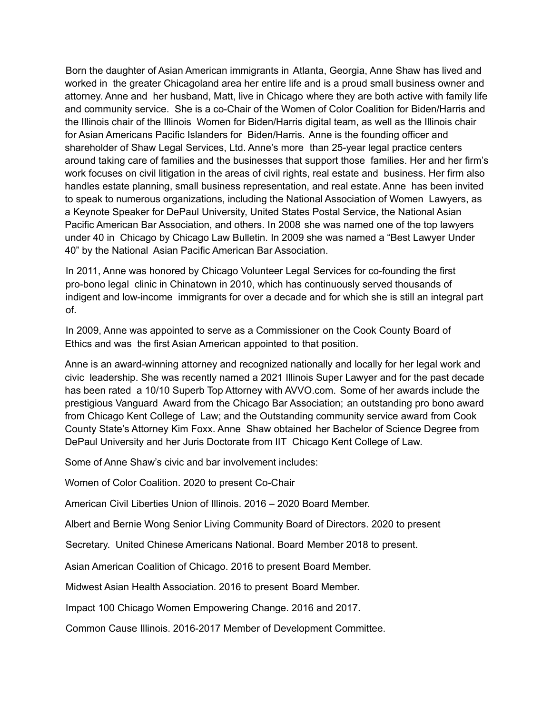Born the daughter of Asian American immigrants in Atlanta, Georgia, Anne Shaw has lived and worked in the greater Chicagoland area her entire life and is a proud small business owner and attorney. Anne and her husband, Matt, live in Chicago where they are both active with family life and community service. She is a co-Chair of the Women of Color Coalition for Biden/Harris and the Illinois chair of the Illinois Women for Biden/Harris digital team, as well as the Illinois chair for Asian Americans Pacific Islanders for Biden/Harris. Anne is the founding officer and shareholder of Shaw Legal Services, Ltd. Anne's more than 25-year legal practice centers around taking care of families and the businesses that support those families. Her and her firm's work focuses on civil litigation in the areas of civil rights, real estate and business. Her firm also handles estate planning, small business representation, and real estate. Anne has been invited to speak to numerous organizations, including the National Association of Women Lawyers, as a Keynote Speaker for DePaul University, United States Postal Service, the National Asian Pacific American Bar Association, and others. In 2008 she was named one of the top lawyers under 40 in Chicago by Chicago Law Bulletin. In 2009 she was named a "Best Lawyer Under 40" by the National Asian Pacific American Bar Association.

In 2011, Anne was honored by Chicago Volunteer Legal Services for co-founding the first pro-bono legal clinic in Chinatown in 2010, which has continuously served thousands of indigent and low-income immigrants for over a decade and for which she is still an integral part of.

In 2009, Anne was appointed to serve as a Commissioner on the Cook County Board of Ethics and was the first Asian American appointed to that position.

Anne is an award-winning attorney and recognized nationally and locally for her legal work and civic leadership. She was recently named a 2021 Illinois Super Lawyer and for the past decade has been rated a 10/10 Superb Top Attorney with AVVO.com. Some of her awards include the prestigious Vanguard Award from the Chicago Bar Association; an outstanding pro bono award from Chicago Kent College of Law; and the Outstanding community service award from Cook County State's Attorney Kim Foxx. Anne Shaw obtained her Bachelor of Science Degree from DePaul University and her Juris Doctorate from IIT Chicago Kent College of Law.

Some of Anne Shaw's civic and bar involvement includes:

Women of Color Coalition. 2020 to present Co-Chair

American Civil Liberties Union of Illinois. 2016 – 2020 Board Member.

Albert and Bernie Wong Senior Living Community Board of Directors. 2020 to present

Secretary. United Chinese Americans National. Board Member 2018 to present.

Asian American Coalition of Chicago. 2016 to present Board Member.

Midwest Asian Health Association. 2016 to present Board Member.

Impact 100 Chicago Women Empowering Change. 2016 and 2017.

Common Cause Illinois. 2016-2017 Member of Development Committee.